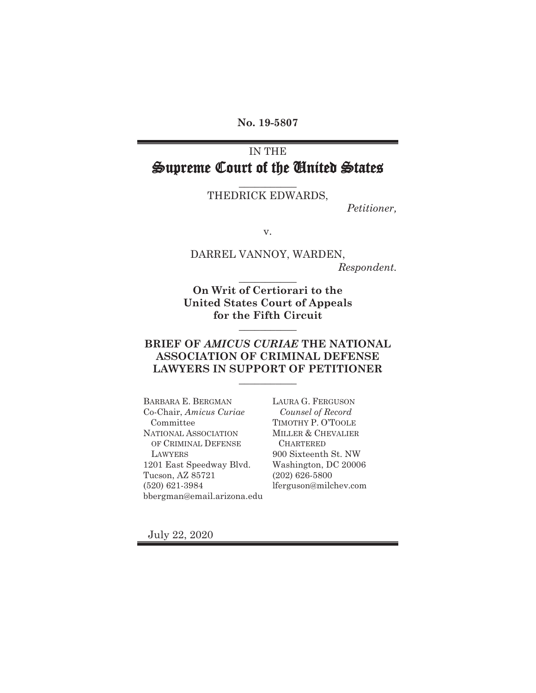**No. 19-5807** 

# IN THE Supreme Court of the United States

## **\_\_\_\_\_\_\_\_\_\_\_** THEDRICK EDWARDS,

*Petitioner,* 

v.

DARREL VANNOY, WARDEN, *Respondent.* **\_\_\_\_\_\_\_\_\_\_\_** 

**On Writ of Certiorari to the United States Court of Appeals for the Fifth Circuit** 

### **BRIEF OF** *AMICUS CURIAE* **THE NATIONAL ASSOCIATION OF CRIMINAL DEFENSE LAWYERS IN SUPPORT OF PETITIONER \_\_\_\_\_\_\_\_\_\_\_**

**\_\_\_\_\_\_\_\_\_\_\_** 

BARBARA E. BERGMAN Co-Chair, *Amicus Curiae*  Committee NATIONAL ASSOCIATION OF CRIMINAL DEFENSE LAWYERS 1201 East Speedway Blvd. Tucson, AZ 85721 (520) 621-3984 bbergman@email.arizona.edu

LAURA G. FERGUSON  *Counsel of Record*  TIMOTHY P. O'TOOLE MILLER & CHEVALIER **CHARTERED** 900 Sixteenth St. NW Washington, DC 20006 (202) 626-5800 lferguson@milchev.com

July 22, 2020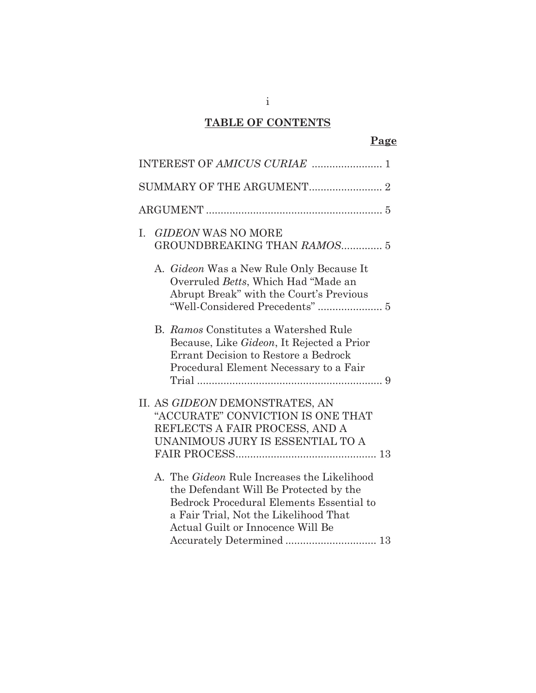# **TABLE OF CONTENTS**

## **Page**

| <b>GIDEON WAS NO MORE</b><br>L.<br>GROUNDBREAKING THAN RAMOS 5                                                                                                                                                                                      |
|-----------------------------------------------------------------------------------------------------------------------------------------------------------------------------------------------------------------------------------------------------|
| A. Gideon Was a New Rule Only Because It<br>Overruled Betts, Which Had "Made an<br>Abrupt Break" with the Court's Previous<br>"Well-Considered Precedents"  5                                                                                       |
| B. Ramos Constitutes a Watershed Rule<br>Because, Like Gideon, It Rejected a Prior<br>Errant Decision to Restore a Bedrock<br>Procedural Element Necessary to a Fair                                                                                |
| II. AS GIDEON DEMONSTRATES, AN<br>"ACCURATE" CONVICTION IS ONE THAT<br>REFLECTS A FAIR PROCESS, AND A<br>UNANIMOUS JURY IS ESSENTIAL TO A                                                                                                           |
| A. The <i>Gideon</i> Rule Increases the Likelihood<br>the Defendant Will Be Protected by the<br>Bedrock Procedural Elements Essential to<br>a Fair Trial, Not the Likelihood That<br>Actual Guilt or Innocence Will Be<br>Accurately Determined  13 |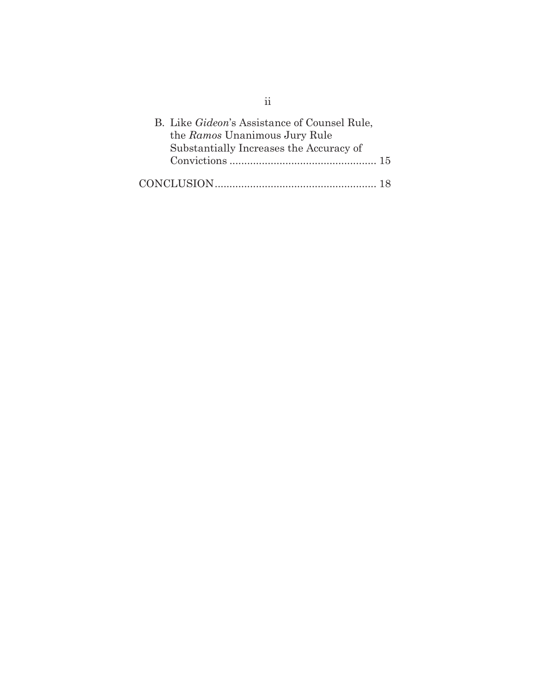| B. Like <i>Gideon's</i> Assistance of Counsel Rule, |    |
|-----------------------------------------------------|----|
| the Ramos Unanimous Jury Rule                       |    |
| Substantially Increases the Accuracy of             |    |
|                                                     |    |
|                                                     | 18 |

ii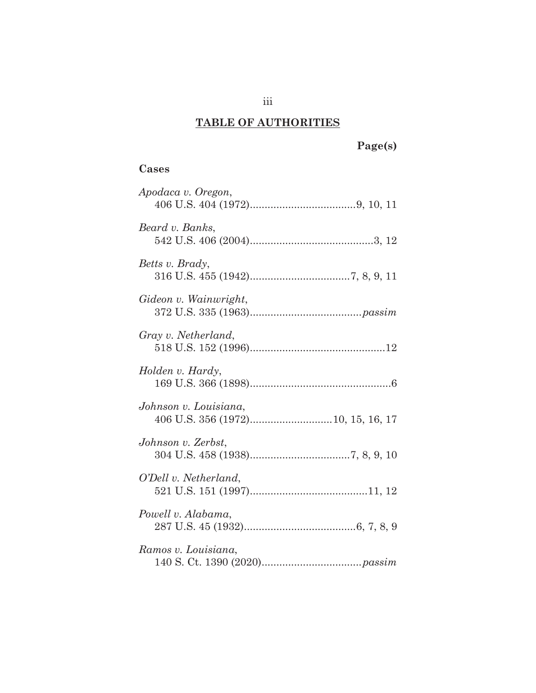# **TABLE OF AUTHORITIES**

# **Page(s)**

# **Cases**

| Apodaca v. Oregon,    |
|-----------------------|
| Beard v. Banks,       |
| Betts v. Brady,       |
| Gideon v. Wainwright, |
| Gray v. Netherland,   |
| Holden v. Hardy,      |
| Johnson v. Louisiana, |
| Johnson v. Zerbst,    |
| O'Dell v. Netherland, |
| Powell v. Alabama,    |
| Ramos v. Louisiana,   |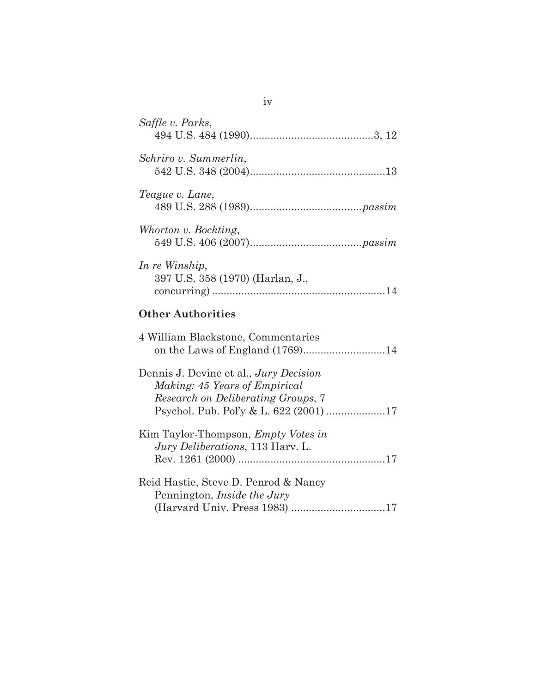| Saffle v. Parks,                                                                                                                                        |
|---------------------------------------------------------------------------------------------------------------------------------------------------------|
| Schriro v. Summerlin,                                                                                                                                   |
| Teague v. Lane,                                                                                                                                         |
| Whorton v. Bockting,                                                                                                                                    |
| In re Winship,<br>397 U.S. 358 (1970) (Harlan, J.,                                                                                                      |
| <b>Other Authorities</b>                                                                                                                                |
| 4 William Blackstone, Commentaries<br>on the Laws of England (1769)14                                                                                   |
| Dennis J. Devine et al., Jury Decision<br>Making: 45 Years of Empirical<br>Research on Deliberating Groups, 7<br>Psychol. Pub. Pol'y & L. 622 (2001) 17 |
| Kim Taylor-Thompson, <i>Empty Votes in</i><br><i>Jury Deliberations</i> , 113 Harv. L.                                                                  |
| Reid Hastie, Steve D. Penrod & Nancy<br>Pennington, <i>Inside the Jury</i><br>(Harvard Univ. Press 1983) 17                                             |

iv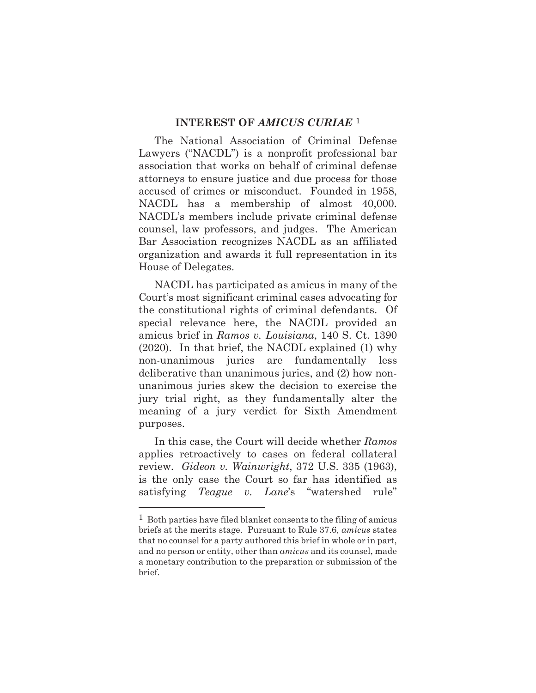#### **INTEREST OF** *AMICUS CURIAE* 1

The National Association of Criminal Defense Lawyers ("NACDL") is a nonprofit professional bar association that works on behalf of criminal defense attorneys to ensure justice and due process for those accused of crimes or misconduct. Founded in 1958, NACDL has a membership of almost 40,000. NACDL's members include private criminal defense counsel, law professors, and judges. The American Bar Association recognizes NACDL as an affiliated organization and awards it full representation in its House of Delegates.

NACDL has participated as amicus in many of the Court's most significant criminal cases advocating for the constitutional rights of criminal defendants. Of special relevance here, the NACDL provided an amicus brief in *Ramos v. Louisiana*, 140 S. Ct. 1390 (2020). In that brief, the NACDL explained (1) why non-unanimous juries are fundamentally less deliberative than unanimous juries, and (2) how nonunanimous juries skew the decision to exercise the jury trial right, as they fundamentally alter the meaning of a jury verdict for Sixth Amendment purposes.

In this case, the Court will decide whether *Ramos* applies retroactively to cases on federal collateral review. *Gideon v. Wainwright*, 372 U.S. 335 (1963), is the only case the Court so far has identified as satisfying *Teague v. Lane*'s "watershed rule"

l

 $1$  Both parties have filed blanket consents to the filing of amicus briefs at the merits stage. Pursuant to Rule 37.6, *amicus* states that no counsel for a party authored this brief in whole or in part, and no person or entity, other than *amicus* and its counsel, made a monetary contribution to the preparation or submission of the brief.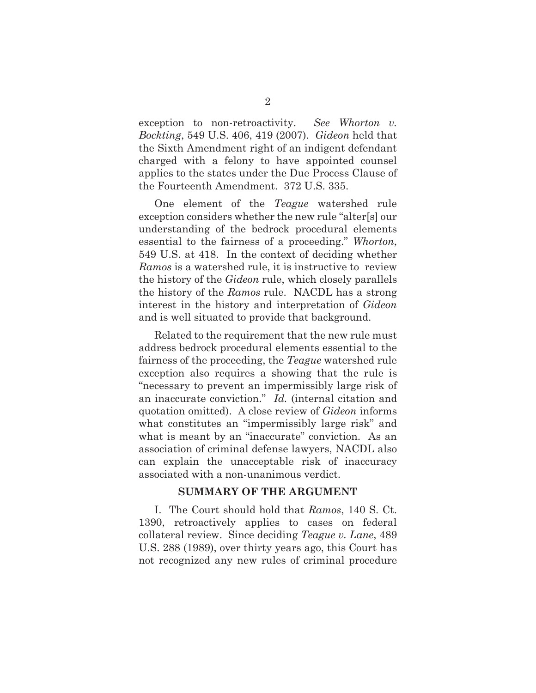exception to non-retroactivity. *See Whorton v. Bockting*, 549 U.S. 406, 419 (2007). *Gideon* held that the Sixth Amendment right of an indigent defendant charged with a felony to have appointed counsel applies to the states under the Due Process Clause of the Fourteenth Amendment. 372 U.S. 335.

One element of the *Teague* watershed rule exception considers whether the new rule "alter[s] our understanding of the bedrock procedural elements essential to the fairness of a proceeding." *Whorton*, 549 U.S. at 418. In the context of deciding whether *Ramos* is a watershed rule, it is instructive to review the history of the *Gideon* rule, which closely parallels the history of the *Ramos* rule. NACDL has a strong interest in the history and interpretation of *Gideon* and is well situated to provide that background.

Related to the requirement that the new rule must address bedrock procedural elements essential to the fairness of the proceeding, the *Teague* watershed rule exception also requires a showing that the rule is "necessary to prevent an impermissibly large risk of an inaccurate conviction." *Id.* (internal citation and quotation omitted). A close review of *Gideon* informs what constitutes an "impermissibly large risk" and what is meant by an "inaccurate" conviction. As an association of criminal defense lawyers, NACDL also can explain the unacceptable risk of inaccuracy associated with a non-unanimous verdict.

#### **SUMMARY OF THE ARGUMENT**

I. The Court should hold that *Ramos*, 140 S. Ct. 1390, retroactively applies to cases on federal collateral review. Since deciding *Teague v. Lane*, 489 U.S. 288 (1989), over thirty years ago, this Court has not recognized any new rules of criminal procedure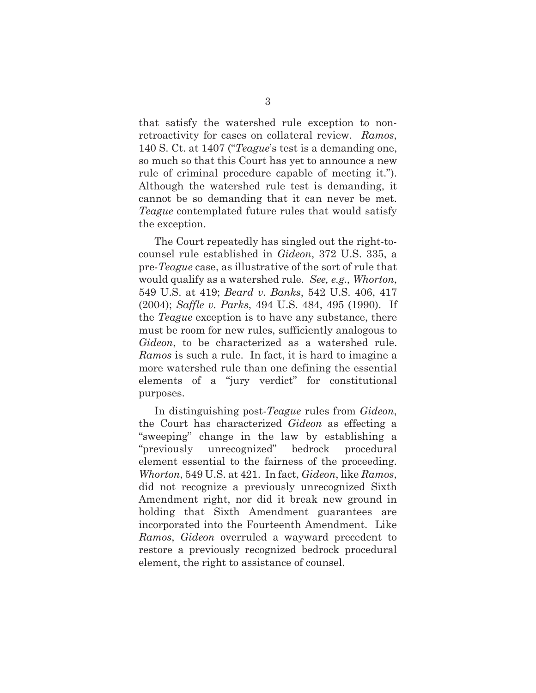that satisfy the watershed rule exception to nonretroactivity for cases on collateral review. *Ramos*, 140 S. Ct. at 1407 ("*Teague*'s test is a demanding one, so much so that this Court has yet to announce a new rule of criminal procedure capable of meeting it."). Although the watershed rule test is demanding, it cannot be so demanding that it can never be met. *Teague* contemplated future rules that would satisfy the exception.

The Court repeatedly has singled out the right-tocounsel rule established in *Gideon*, 372 U.S. 335, a pre-*Teague* case, as illustrative of the sort of rule that would qualify as a watershed rule. *See, e.g., Whorton*, 549 U.S. at 419; *Beard v. Banks*, 542 U.S. 406, 417 (2004); *Saffle v. Parks*, 494 U.S. 484, 495 (1990). If the *Teague* exception is to have any substance, there must be room for new rules, sufficiently analogous to *Gideon*, to be characterized as a watershed rule. *Ramos* is such a rule. In fact, it is hard to imagine a more watershed rule than one defining the essential elements of a "jury verdict" for constitutional purposes.

In distinguishing post-*Teague* rules from *Gideon*, the Court has characterized *Gideon* as effecting a "sweeping" change in the law by establishing a "previously unrecognized" bedrock procedural element essential to the fairness of the proceeding. *Whorton*, 549 U.S. at 421. In fact, *Gideon*, like *Ramos*, did not recognize a previously unrecognized Sixth Amendment right, nor did it break new ground in holding that Sixth Amendment guarantees are incorporated into the Fourteenth Amendment. Like *Ramos*, *Gideon* overruled a wayward precedent to restore a previously recognized bedrock procedural element, the right to assistance of counsel.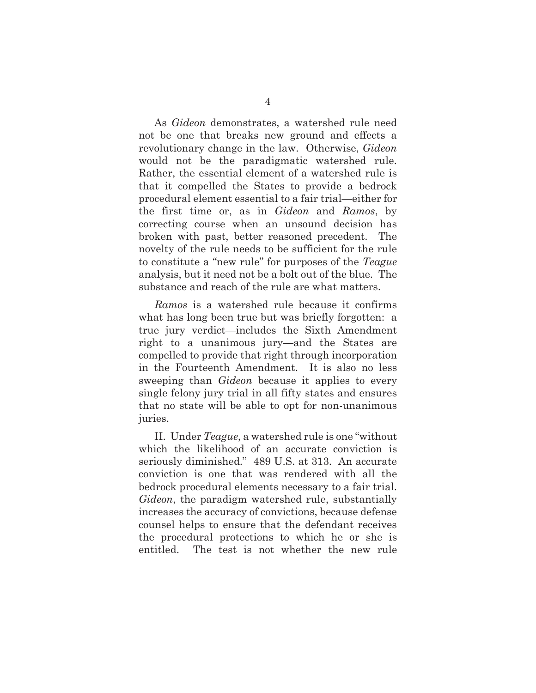As *Gideon* demonstrates, a watershed rule need not be one that breaks new ground and effects a revolutionary change in the law. Otherwise, *Gideon* would not be the paradigmatic watershed rule. Rather, the essential element of a watershed rule is that it compelled the States to provide a bedrock procedural element essential to a fair trial—either for the first time or, as in *Gideon* and *Ramos*, by correcting course when an unsound decision has broken with past, better reasoned precedent. The novelty of the rule needs to be sufficient for the rule to constitute a "new rule" for purposes of the *Teague* analysis, but it need not be a bolt out of the blue. The substance and reach of the rule are what matters.

*Ramos* is a watershed rule because it confirms what has long been true but was briefly forgotten: a true jury verdict—includes the Sixth Amendment right to a unanimous jury—and the States are compelled to provide that right through incorporation in the Fourteenth Amendment. It is also no less sweeping than *Gideon* because it applies to every single felony jury trial in all fifty states and ensures that no state will be able to opt for non-unanimous juries.

II. Under *Teague*, a watershed rule is one "without which the likelihood of an accurate conviction is seriously diminished." 489 U.S. at 313. An accurate conviction is one that was rendered with all the bedrock procedural elements necessary to a fair trial. *Gideon*, the paradigm watershed rule, substantially increases the accuracy of convictions, because defense counsel helps to ensure that the defendant receives the procedural protections to which he or she is entitled. The test is not whether the new rule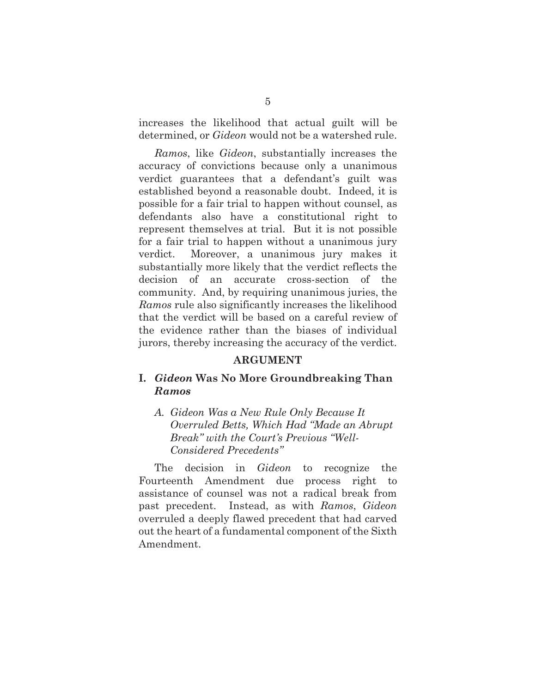increases the likelihood that actual guilt will be determined, or *Gideon* would not be a watershed rule.

*Ramos*, like *Gideon*, substantially increases the accuracy of convictions because only a unanimous verdict guarantees that a defendant's guilt was established beyond a reasonable doubt. Indeed, it is possible for a fair trial to happen without counsel, as defendants also have a constitutional right to represent themselves at trial. But it is not possible for a fair trial to happen without a unanimous jury verdict. Moreover, a unanimous jury makes it substantially more likely that the verdict reflects the decision of an accurate cross-section of the community. And, by requiring unanimous juries, the *Ramos* rule also significantly increases the likelihood that the verdict will be based on a careful review of the evidence rather than the biases of individual jurors, thereby increasing the accuracy of the verdict.

#### **ARGUMENT**

### **I.** *Gideon* **Was No More Groundbreaking Than**  *Ramos*

*A. Gideon Was a New Rule Only Because It Overruled Betts, Which Had "Made an Abrupt Break" with the Court's Previous "Well-Considered Precedents"* 

The decision in *Gideon* to recognize the Fourteenth Amendment due process right to assistance of counsel was not a radical break from past precedent. Instead, as with *Ramos*, *Gideon* overruled a deeply flawed precedent that had carved out the heart of a fundamental component of the Sixth Amendment.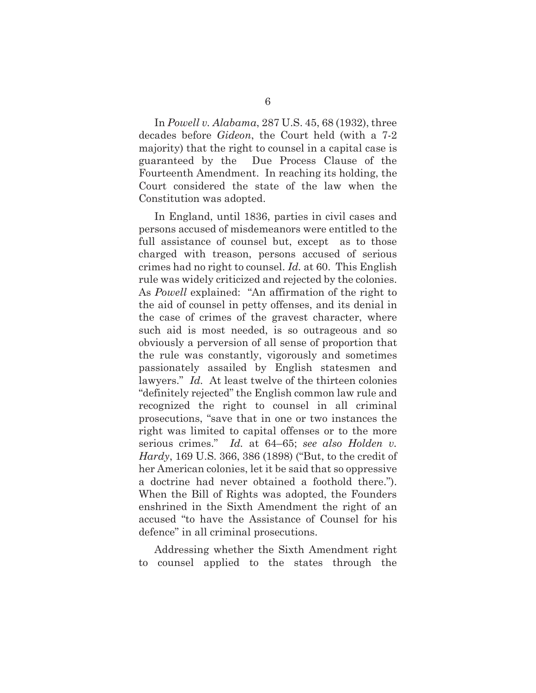In *Powell v. Alabama*, 287 U.S. 45, 68 (1932), three decades before *Gideon*, the Court held (with a 7-2 majority) that the right to counsel in a capital case is guaranteed by the Due Process Clause of the Fourteenth Amendment. In reaching its holding, the Court considered the state of the law when the Constitution was adopted.

In England, until 1836, parties in civil cases and persons accused of misdemeanors were entitled to the full assistance of counsel but, except as to those charged with treason, persons accused of serious crimes had no right to counsel. *Id.* at 60. This English rule was widely criticized and rejected by the colonies. As *Powell* explained: "An affirmation of the right to the aid of counsel in petty offenses, and its denial in the case of crimes of the gravest character, where such aid is most needed, is so outrageous and so obviously a perversion of all sense of proportion that the rule was constantly, vigorously and sometimes passionately assailed by English statesmen and lawyers." *Id.* At least twelve of the thirteen colonies "definitely rejected" the English common law rule and recognized the right to counsel in all criminal prosecutions, "save that in one or two instances the right was limited to capital offenses or to the more serious crimes." *Id.* at 64–65; *see also Holden v. Hardy*, 169 U.S. 366, 386 (1898) ("But, to the credit of her American colonies, let it be said that so oppressive a doctrine had never obtained a foothold there."). When the Bill of Rights was adopted, the Founders enshrined in the Sixth Amendment the right of an accused "to have the Assistance of Counsel for his defence" in all criminal prosecutions.

Addressing whether the Sixth Amendment right to counsel applied to the states through the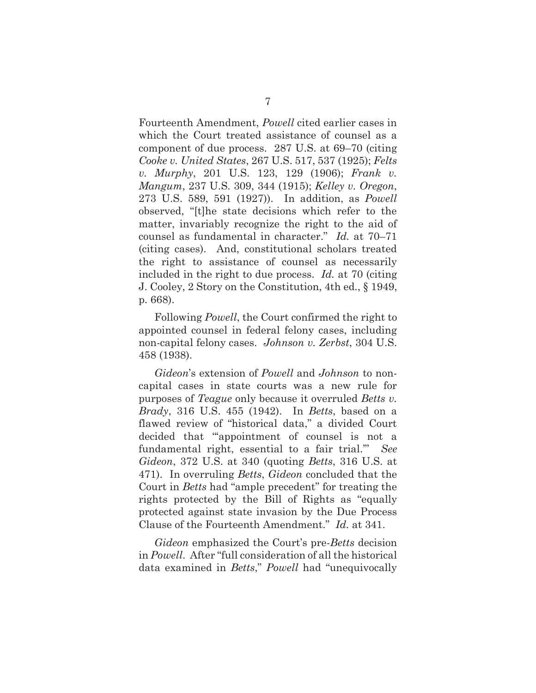Fourteenth Amendment, *Powell* cited earlier cases in which the Court treated assistance of counsel as a component of due process. 287 U.S. at 69–70 (citing *Cooke v. United States*, 267 U.S. 517, 537 (1925); *Felts v. Murphy*, 201 U.S. 123, 129 (1906); *Frank v. Mangum*, 237 U.S. 309, 344 (1915); *Kelley v. Oregon*, 273 U.S. 589, 591 (1927)). In addition, as *Powell* observed, "[t]he state decisions which refer to the matter, invariably recognize the right to the aid of counsel as fundamental in character." *Id.* at 70–71 (citing cases). And, constitutional scholars treated the right to assistance of counsel as necessarily included in the right to due process. *Id.* at 70 (citing J. Cooley, 2 Story on the Constitution, 4th ed., § 1949, p. 668).

Following *Powell*, the Court confirmed the right to appointed counsel in federal felony cases, including non-capital felony cases. *Johnson v. Zerbst*, 304 U.S. 458 (1938).

*Gideon*'s extension of *Powell* and *Johnson* to noncapital cases in state courts was a new rule for purposes of *Teague* only because it overruled *Betts v. Brady*, 316 U.S. 455 (1942). In *Betts*, based on a flawed review of "historical data," a divided Court decided that "'appointment of counsel is not a fundamental right, essential to a fair trial.'" *See Gideon*, 372 U.S. at 340 (quoting *Betts*, 316 U.S. at 471). In overruling *Betts*, *Gideon* concluded that the Court in *Betts* had "ample precedent" for treating the rights protected by the Bill of Rights as "equally protected against state invasion by the Due Process Clause of the Fourteenth Amendment." *Id.* at 341.

*Gideon* emphasized the Court's pre-*Betts* decision in *Powell*. After "full consideration of all the historical data examined in *Betts*," *Powell* had "unequivocally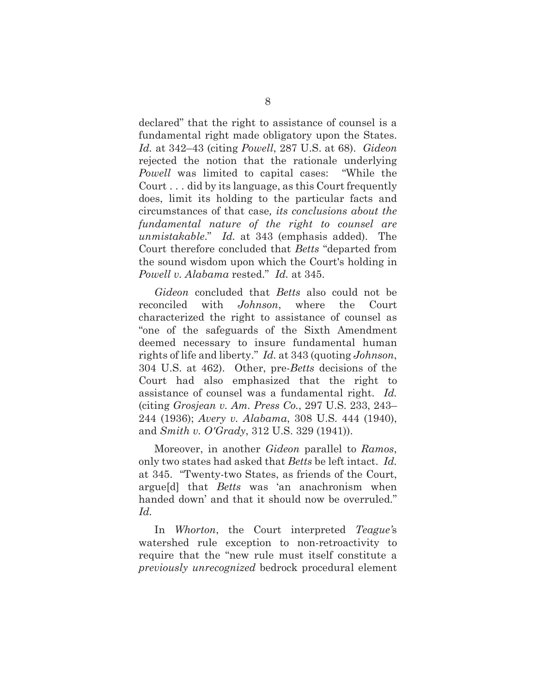declared" that the right to assistance of counsel is a fundamental right made obligatory upon the States. *Id.* at 342–43 (citing *Powell*, 287 U.S. at 68). *Gideon* rejected the notion that the rationale underlying *Powell* was limited to capital cases: "While the Court . . . did by its language, as this Court frequently does, limit its holding to the particular facts and circumstances of that case*, its conclusions about the fundamental nature of the right to counsel are unmistakable*." *Id.* at 343 (emphasis added). The Court therefore concluded that *Betts* "departed from the sound wisdom upon which the Court's holding in *Powell v. Alabama* rested." *Id.* at 345.

*Gideon* concluded that *Betts* also could not be reconciled with *Johnson*, where the Court characterized the right to assistance of counsel as "one of the safeguards of the Sixth Amendment deemed necessary to insure fundamental human rights of life and liberty." *Id.* at 343 (quoting *Johnson*, 304 U.S. at 462). Other, pre-*Betts* decisions of the Court had also emphasized that the right to assistance of counsel was a fundamental right. *Id.* (citing *Grosjean v. Am. Press Co.*, 297 U.S. 233, 243– 244 (1936); *Avery v. Alabama*, 308 U.S. 444 (1940), and *Smith v. O'Grady*, 312 U.S. 329 (1941)).

Moreover, in another *Gideon* parallel to *Ramos*, only two states had asked that *Betts* be left intact. *Id.* at 345. "Twenty-two States, as friends of the Court, argue[d] that *Betts* was 'an anachronism when handed down' and that it should now be overruled." *Id.*

In *Whorton*, the Court interpreted *Teague'*s watershed rule exception to non-retroactivity to require that the "new rule must itself constitute a *previously unrecognized* bedrock procedural element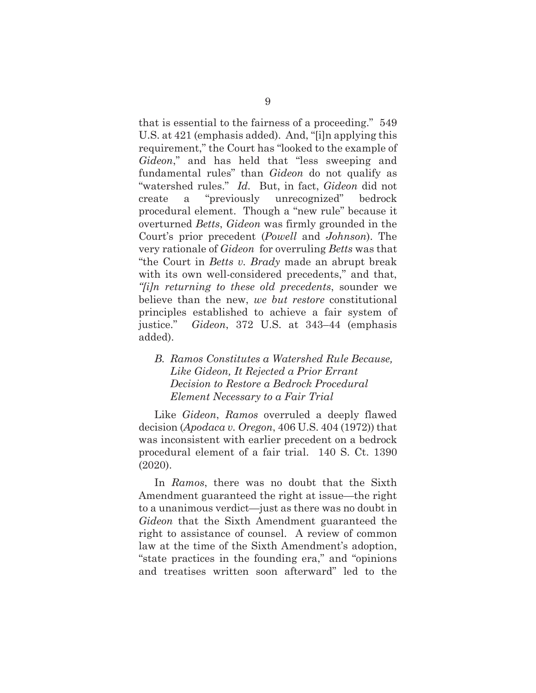that is essential to the fairness of a proceeding." 549 U.S. at 421 (emphasis added). And, "[i]n applying this requirement," the Court has "looked to the example of *Gideon*," and has held that "less sweeping and fundamental rules" than *Gideon* do not qualify as "watershed rules." *Id.* But, in fact, *Gideon* did not create a "previously unrecognized" bedrock procedural element. Though a "new rule" because it overturned *Betts*, *Gideon* was firmly grounded in the Court's prior precedent (*Powell* and *Johnson*). The very rationale of *Gideon* for overruling *Betts* was that "the Court in *Betts v. Brady* made an abrupt break with its own well-considered precedents," and that, *"[i]n returning to these old precedents*, sounder we believe than the new, *we but restore* constitutional principles established to achieve a fair system of justice." *Gideon*, 372 U.S. at 343–44 (emphasis added).

## *B. Ramos Constitutes a Watershed Rule Because, Like Gideon, It Rejected a Prior Errant Decision to Restore a Bedrock Procedural Element Necessary to a Fair Trial*

Like *Gideon*, *Ramos* overruled a deeply flawed decision (*Apodaca v. Oregon*, 406 U.S. 404 (1972)) that was inconsistent with earlier precedent on a bedrock procedural element of a fair trial. 140 S. Ct. 1390 (2020).

In *Ramos*, there was no doubt that the Sixth Amendment guaranteed the right at issue—the right to a unanimous verdict—just as there was no doubt in *Gideon* that the Sixth Amendment guaranteed the right to assistance of counsel. A review of common law at the time of the Sixth Amendment's adoption, "state practices in the founding era," and "opinions and treatises written soon afterward" led to the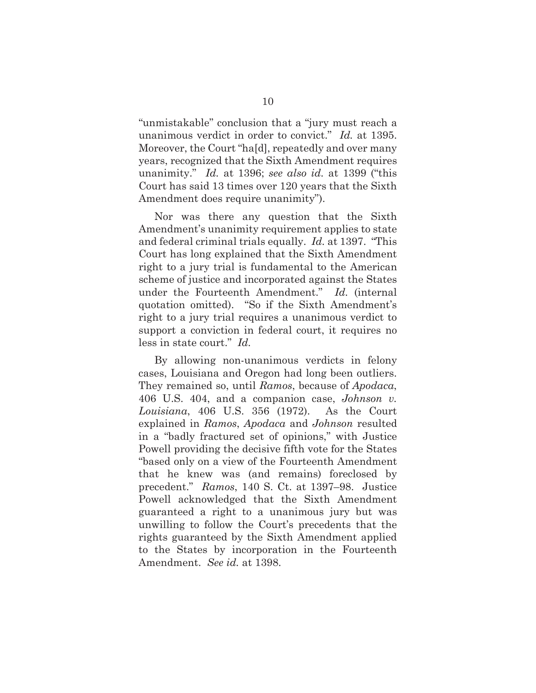"unmistakable" conclusion that a "jury must reach a unanimous verdict in order to convict." *Id.* at 1395. Moreover, the Court "ha[d], repeatedly and over many years, recognized that the Sixth Amendment requires unanimity." *Id.* at 1396; *see also id.* at 1399 ("this Court has said 13 times over 120 years that the Sixth Amendment does require unanimity").

Nor was there any question that the Sixth Amendment's unanimity requirement applies to state and federal criminal trials equally. *Id.* at 1397. "This Court has long explained that the Sixth Amendment right to a jury trial is fundamental to the American scheme of justice and incorporated against the States under the Fourteenth Amendment." *Id.* (internal quotation omitted). "So if the Sixth Amendment's right to a jury trial requires a unanimous verdict to support a conviction in federal court, it requires no less in state court." *Id.*

By allowing non-unanimous verdicts in felony cases, Louisiana and Oregon had long been outliers. They remained so, until *Ramos*, because of *Apodaca*, 406 U.S. 404, and a companion case, *Johnson v. Louisiana*, 406 U.S. 356 (1972). As the Court explained in *Ramos*, *Apodaca* and *Johnson* resulted in a "badly fractured set of opinions," with Justice Powell providing the decisive fifth vote for the States "based only on a view of the Fourteenth Amendment that he knew was (and remains) foreclosed by precedent." *Ramos*, 140 S. Ct. at 1397–98. Justice Powell acknowledged that the Sixth Amendment guaranteed a right to a unanimous jury but was unwilling to follow the Court's precedents that the rights guaranteed by the Sixth Amendment applied to the States by incorporation in the Fourteenth Amendment. *See id.* at 1398.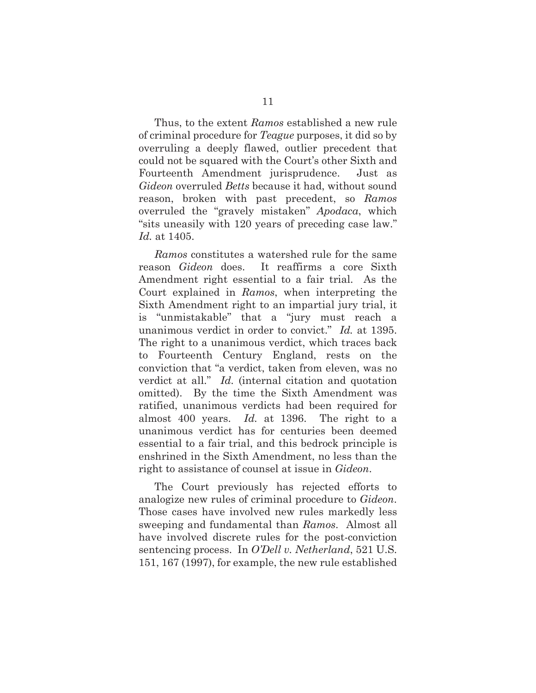Thus, to the extent *Ramos* established a new rule of criminal procedure for *Teague* purposes, it did so by overruling a deeply flawed, outlier precedent that could not be squared with the Court's other Sixth and Fourteenth Amendment jurisprudence. Just as *Gideon* overruled *Betts* because it had, without sound reason, broken with past precedent, so *Ramos* overruled the "gravely mistaken" *Apodaca*, which "sits uneasily with 120 years of preceding case law." *Id.* at 1405.

*Ramos* constitutes a watershed rule for the same reason *Gideon* does. It reaffirms a core Sixth Amendment right essential to a fair trial. As the Court explained in *Ramos*, when interpreting the Sixth Amendment right to an impartial jury trial, it is "unmistakable" that a "jury must reach a unanimous verdict in order to convict." *Id.* at 1395. The right to a unanimous verdict, which traces back to Fourteenth Century England, rests on the conviction that "a verdict, taken from eleven, was no verdict at all." *Id.* (internal citation and quotation omitted). By the time the Sixth Amendment was ratified, unanimous verdicts had been required for almost 400 years. *Id.* at 1396. The right to a unanimous verdict has for centuries been deemed essential to a fair trial, and this bedrock principle is enshrined in the Sixth Amendment, no less than the right to assistance of counsel at issue in *Gideon*.

The Court previously has rejected efforts to analogize new rules of criminal procedure to *Gideon*. Those cases have involved new rules markedly less sweeping and fundamental than *Ramos*. Almost all have involved discrete rules for the post-conviction sentencing process. In *O'Dell v. Netherland*, 521 U.S. 151, 167 (1997), for example, the new rule established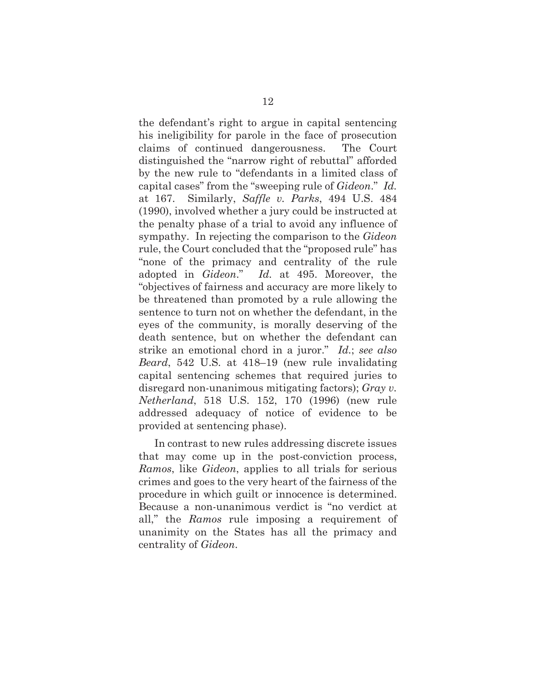the defendant's right to argue in capital sentencing his ineligibility for parole in the face of prosecution claims of continued dangerousness. The Court distinguished the "narrow right of rebuttal" afforded by the new rule to "defendants in a limited class of capital cases" from the "sweeping rule of *Gideon*." *Id.* at 167. Similarly, *Saffle v. Parks*, 494 U.S. 484 (1990), involved whether a jury could be instructed at the penalty phase of a trial to avoid any influence of sympathy. In rejecting the comparison to the *Gideon* rule, the Court concluded that the "proposed rule" has "none of the primacy and centrality of the rule adopted in *Gideon*." *Id.* at 495. Moreover, the "objectives of fairness and accuracy are more likely to be threatened than promoted by a rule allowing the sentence to turn not on whether the defendant, in the eyes of the community, is morally deserving of the death sentence, but on whether the defendant can strike an emotional chord in a juror." *Id.*; *see also Beard*, 542 U.S. at 418–19 (new rule invalidating capital sentencing schemes that required juries to disregard non-unanimous mitigating factors); *Gray v. Netherland*, 518 U.S. 152, 170 (1996) (new rule addressed adequacy of notice of evidence to be provided at sentencing phase).

In contrast to new rules addressing discrete issues that may come up in the post-conviction process, *Ramos*, like *Gideon*, applies to all trials for serious crimes and goes to the very heart of the fairness of the procedure in which guilt or innocence is determined. Because a non-unanimous verdict is "no verdict at all," the *Ramos* rule imposing a requirement of unanimity on the States has all the primacy and centrality of *Gideon*.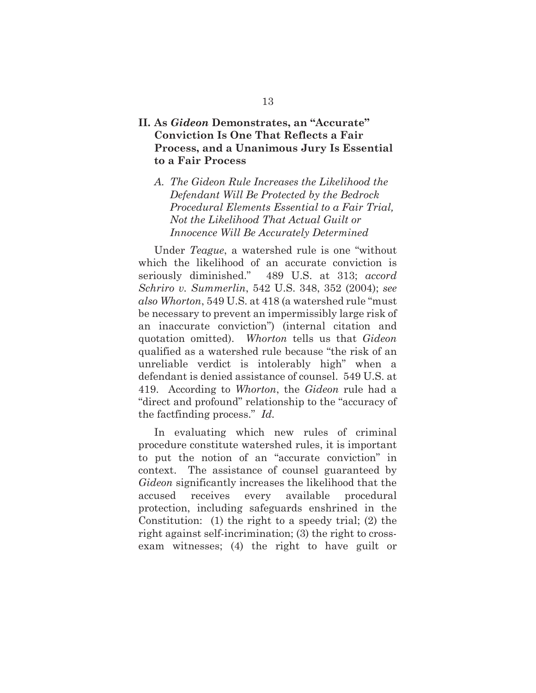## **II. As** *Gideon* **Demonstrates, an "Accurate" Conviction Is One That Reflects a Fair Process, and a Unanimous Jury Is Essential to a Fair Process**

*A. The Gideon Rule Increases the Likelihood the Defendant Will Be Protected by the Bedrock Procedural Elements Essential to a Fair Trial, Not the Likelihood That Actual Guilt or Innocence Will Be Accurately Determined*

Under *Teague*, a watershed rule is one "without which the likelihood of an accurate conviction is seriously diminished." 489 U.S. at 313; *accord Schriro v. Summerlin*, 542 U.S. 348, 352 (2004); *see also Whorton*, 549 U.S. at 418 (a watershed rule "must be necessary to prevent an impermissibly large risk of an inaccurate conviction") (internal citation and quotation omitted). *Whorton* tells us that *Gideon* qualified as a watershed rule because "the risk of an unreliable verdict is intolerably high" when a defendant is denied assistance of counsel. 549 U.S. at 419. According to *Whorton*, the *Gideon* rule had a "direct and profound" relationship to the "accuracy of the factfinding process." *Id.*

In evaluating which new rules of criminal procedure constitute watershed rules, it is important to put the notion of an "accurate conviction" in context. The assistance of counsel guaranteed by *Gideon* significantly increases the likelihood that the accused receives every available procedural protection, including safeguards enshrined in the Constitution: (1) the right to a speedy trial; (2) the right against self-incrimination; (3) the right to crossexam witnesses; (4) the right to have guilt or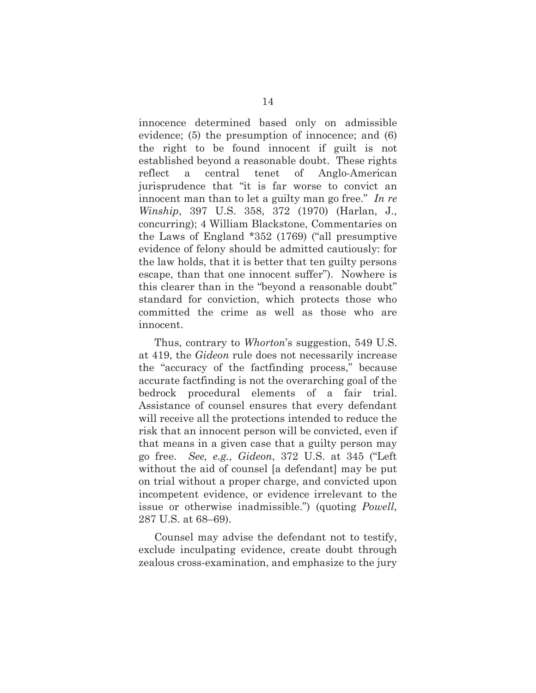innocence determined based only on admissible evidence; (5) the presumption of innocence; and (6) the right to be found innocent if guilt is not established beyond a reasonable doubt. These rights reflect a central tenet of Anglo-American jurisprudence that "it is far worse to convict an innocent man than to let a guilty man go free." *In re Winship*, 397 U.S. 358, 372 (1970) (Harlan, J., concurring); 4 William Blackstone, Commentaries on the Laws of England \*352 (1769) ("all presumptive evidence of felony should be admitted cautiously: for the law holds, that it is better that ten guilty persons escape, than that one innocent suffer"). Nowhere is this clearer than in the "beyond a reasonable doubt" standard for conviction, which protects those who committed the crime as well as those who are innocent.

Thus, contrary to *Whorton*'s suggestion, 549 U.S. at 419, the *Gideon* rule does not necessarily increase the "accuracy of the factfinding process," because accurate factfinding is not the overarching goal of the bedrock procedural elements of a fair trial. Assistance of counsel ensures that every defendant will receive all the protections intended to reduce the risk that an innocent person will be convicted, even if that means in a given case that a guilty person may go free. *See, e.g., Gideon*, 372 U.S. at 345 ("Left without the aid of counsel [a defendant] may be put on trial without a proper charge, and convicted upon incompetent evidence, or evidence irrelevant to the issue or otherwise inadmissible.") (quoting *Powell*, 287 U.S. at 68–69).

Counsel may advise the defendant not to testify, exclude inculpating evidence, create doubt through zealous cross-examination, and emphasize to the jury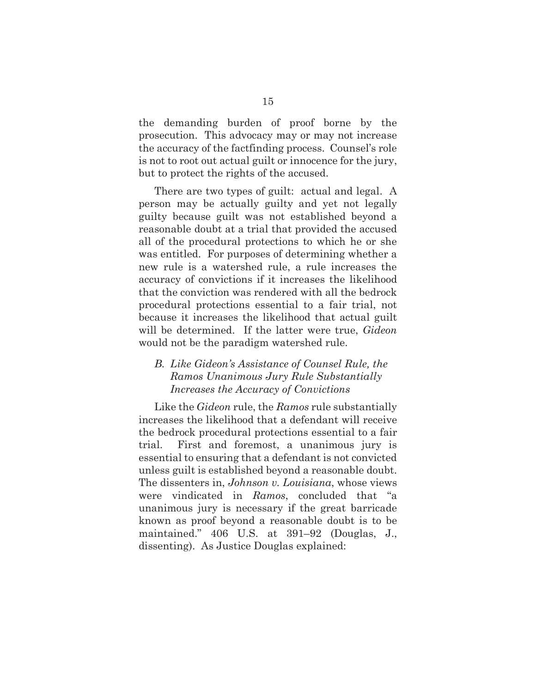the demanding burden of proof borne by the prosecution. This advocacy may or may not increase the accuracy of the factfinding process. Counsel's role is not to root out actual guilt or innocence for the jury, but to protect the rights of the accused.

There are two types of guilt: actual and legal. A person may be actually guilty and yet not legally guilty because guilt was not established beyond a reasonable doubt at a trial that provided the accused all of the procedural protections to which he or she was entitled. For purposes of determining whether a new rule is a watershed rule, a rule increases the accuracy of convictions if it increases the likelihood that the conviction was rendered with all the bedrock procedural protections essential to a fair trial, not because it increases the likelihood that actual guilt will be determined. If the latter were true, *Gideon* would not be the paradigm watershed rule.

## *B. Like Gideon's Assistance of Counsel Rule, the Ramos Unanimous Jury Rule Substantially Increases the Accuracy of Convictions*

Like the *Gideon* rule, the *Ramos* rule substantially increases the likelihood that a defendant will receive the bedrock procedural protections essential to a fair trial. First and foremost, a unanimous jury is essential to ensuring that a defendant is not convicted unless guilt is established beyond a reasonable doubt. The dissenters in, *Johnson v. Louisiana*, whose views were vindicated in *Ramos*, concluded that "a unanimous jury is necessary if the great barricade known as proof beyond a reasonable doubt is to be maintained." 406 U.S. at 391–92 (Douglas, J., dissenting). As Justice Douglas explained: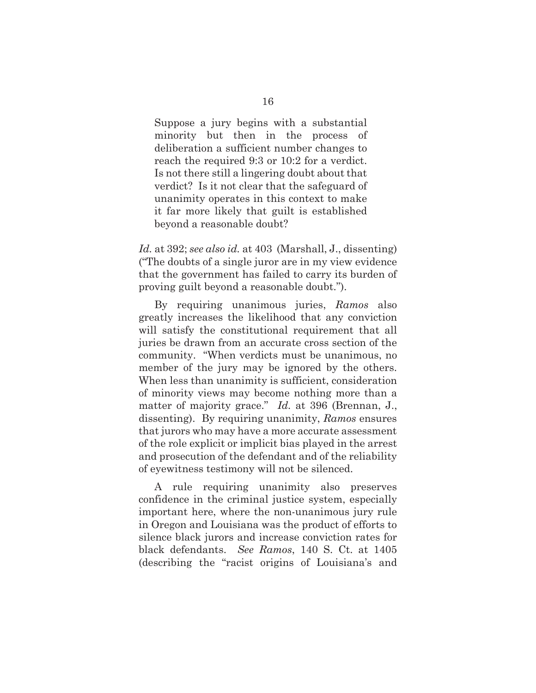Suppose a jury begins with a substantial minority but then in the process of deliberation a sufficient number changes to reach the required 9:3 or 10:2 for a verdict. Is not there still a lingering doubt about that verdict? Is it not clear that the safeguard of unanimity operates in this context to make it far more likely that guilt is established beyond a reasonable doubt?

*Id.* at 392; *see also id.* at 403 (Marshall, J., dissenting) ("The doubts of a single juror are in my view evidence that the government has failed to carry its burden of proving guilt beyond a reasonable doubt.").

By requiring unanimous juries, *Ramos* also greatly increases the likelihood that any conviction will satisfy the constitutional requirement that all juries be drawn from an accurate cross section of the community. "When verdicts must be unanimous, no member of the jury may be ignored by the others. When less than unanimity is sufficient, consideration of minority views may become nothing more than a matter of majority grace." *Id.* at 396 (Brennan, J., dissenting). By requiring unanimity, *Ramos* ensures that jurors who may have a more accurate assessment of the role explicit or implicit bias played in the arrest and prosecution of the defendant and of the reliability of eyewitness testimony will not be silenced.

A rule requiring unanimity also preserves confidence in the criminal justice system, especially important here, where the non-unanimous jury rule in Oregon and Louisiana was the product of efforts to silence black jurors and increase conviction rates for black defendants. *See Ramos*, 140 S. Ct. at 1405 (describing the "racist origins of Louisiana's and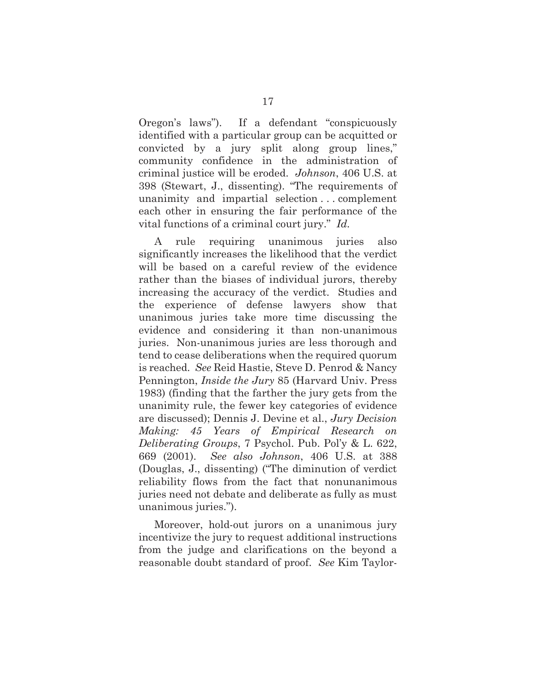Oregon's laws"). If a defendant "conspicuously identified with a particular group can be acquitted or convicted by a jury split along group lines," community confidence in the administration of criminal justice will be eroded. *Johnson*, 406 U.S. at 398 (Stewart, J., dissenting). "The requirements of unanimity and impartial selection . . . complement each other in ensuring the fair performance of the vital functions of a criminal court jury." *Id.*

A rule requiring unanimous juries also significantly increases the likelihood that the verdict will be based on a careful review of the evidence rather than the biases of individual jurors, thereby increasing the accuracy of the verdict. Studies and the experience of defense lawyers show that unanimous juries take more time discussing the evidence and considering it than non-unanimous juries. Non-unanimous juries are less thorough and tend to cease deliberations when the required quorum is reached. *See* Reid Hastie, Steve D. Penrod & Nancy Pennington, *Inside the Jury* 85 (Harvard Univ. Press 1983) (finding that the farther the jury gets from the unanimity rule, the fewer key categories of evidence are discussed); Dennis J. Devine et al., *Jury Decision Making: 45 Years of Empirical Research on Deliberating Groups*, 7 Psychol. Pub. Pol'y & L. 622, 669 (2001). *See also Johnson*, 406 U.S. at 388 (Douglas, J., dissenting) ("The diminution of verdict reliability flows from the fact that nonunanimous juries need not debate and deliberate as fully as must unanimous juries.").

Moreover, hold-out jurors on a unanimous jury incentivize the jury to request additional instructions from the judge and clarifications on the beyond a reasonable doubt standard of proof. *See* Kim Taylor-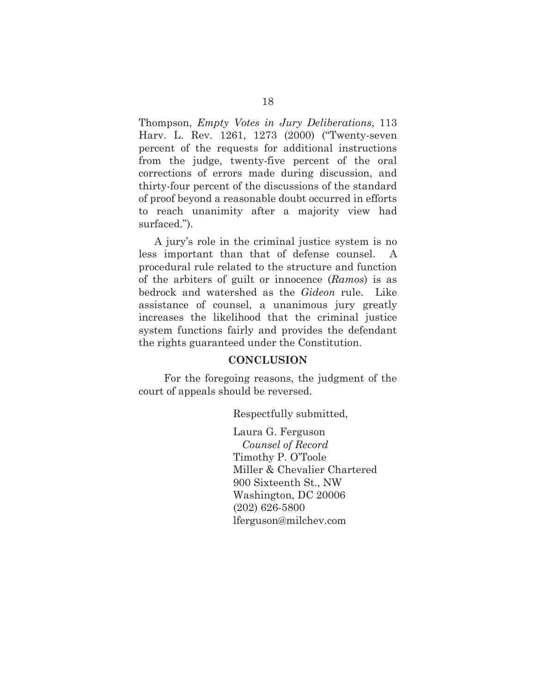Thompson, *Empty Votes in Jury Deliberations*, 113 Harv. L. Rev. 1261, 1273 (2000) ("Twenty-seven percent of the requests for additional instructions from the judge, twenty-five percent of the oral corrections of errors made during discussion, and thirty-four percent of the discussions of the standard of proof beyond a reasonable doubt occurred in efforts to reach unanimity after a majority view had surfaced.").

A jury's role in the criminal justice system is no less important than that of defense counsel. A procedural rule related to the structure and function of the arbiters of guilt or innocence (*Ramos*) is as bedrock and watershed as the *Gideon* rule. Like assistance of counsel, a unanimous jury greatly increases the likelihood that the criminal justice system functions fairly and provides the defendant the rights guaranteed under the Constitution.

#### **CONCLUSION**

For the foregoing reasons, the judgment of the court of appeals should be reversed.

Respectfully submitted,

Laura G. Ferguson  *Counsel of Record*  Timothy P. O'Toole Miller & Chevalier Chartered 900 Sixteenth St., NW Washington, DC 20006 (202) 626-5800 lferguson@milchev.com